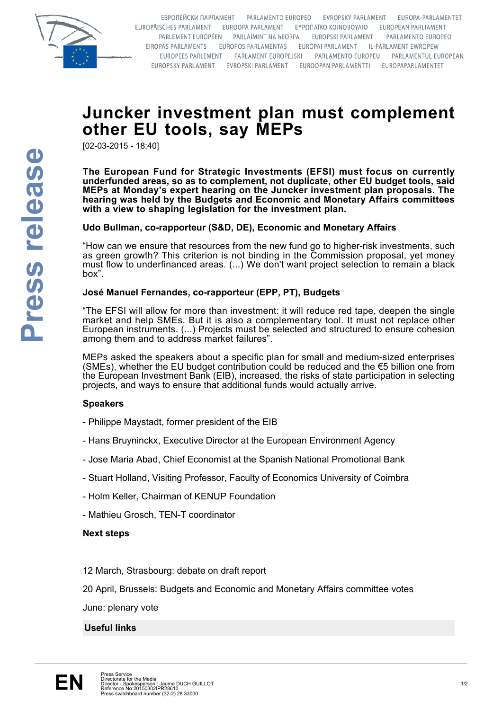

EBPOΠΕЙСКИ ПАРЛАМЕНТ РАRLAMENTO EUROPEO EVROPSKÝ PARLAMENT **FUROPA-PARLAMENTET** EUROPÄISCHES PARLAMENT EUROOPA PARLAMENT EYPONAÏKO KOINOBOYAIO EUROPEAN PARLIAMENT PARLEMENT EUROPÉEN PARLAIMINT NA HEORPA EUROPSKI PARLAMENT PARLAMENTO EUROPEO EIROPAS PARLAMENTS EUROPOS PARLAMENTAS EURÓPAI PARLAMENT IL-PARLAMENT EWROPEW EUROPEES PARLEMENT PARLAMENT EUROPEJSKI PARLAMENTO EUROPEU PARLAMENTUL EUROPEAN EURÓPSKY PARLAMENT EVROPSKI PARLAMENT EUROOPAN PARLAMENTTI EUROPAPARLAMENTET

# **Juncker investment plan must complement other EU tools, say MEPs**

[02-03-2015 - 18:40]

**The European Fund for Strategic Investments (EFSI) must focus on currently underfunded areas, so as to complement, not duplicate, other EU budget tools, said MEPs at Monday's expert hearing on the Juncker investment plan proposals. The hearing was held by the Budgets and Economic and Monetary Affairs committees with a view to shaping legislation for the investment plan.**

# **Udo Bullman, co-rapporteur (S&D, DE), Economic and Monetary Affairs**

"How can we ensure that resources from the new fund go to higher-risk investments, such as green growth? This criterion is not binding in the Commission proposal, yet money must flow to underfinanced areas. (...) We don't want project selection to remain a black box".

# **José Manuel Fernandes, co-rapporteur (EPP, PT), Budgets**

"The EFSI will allow for more than investment: it will reduce red tape, deepen the single market and help SMEs. But it is also a complementary tool. It must not replace other European instruments. (...) Projects must be selected and structured to ensure cohesion among them and to address market failures".

MEPs asked the speakers about a specific plan for small and medium-sized enterprises (SMEs), whether the EU budget contribution could be reduced and the  $\epsilon$ 5 billion one from the European Investment Bank (EIB), increased, the risks of state participation in selecting projects, and ways to ensure that additional funds would actually arrive.

# **Speakers**

- Philippe Maystadt, former president of the EIB
- Hans Bruyninckx, Executive Director at the European Environment Agency
- Jose Maria Abad, Chief Economist at the Spanish National Promotional Bank
- Stuart Holland, Visiting Professor, Faculty of Economics University of Coimbra
- Holm Keller, Chairman of KENUP Foundation
- Mathieu Grosch, TEN-T coordinator

#### **Next steps**

12 March, Strasbourg: debate on draft report

20 April, Brussels: Budgets and Economic and Monetary Affairs committee votes

June: plenary vote

# **Useful links**